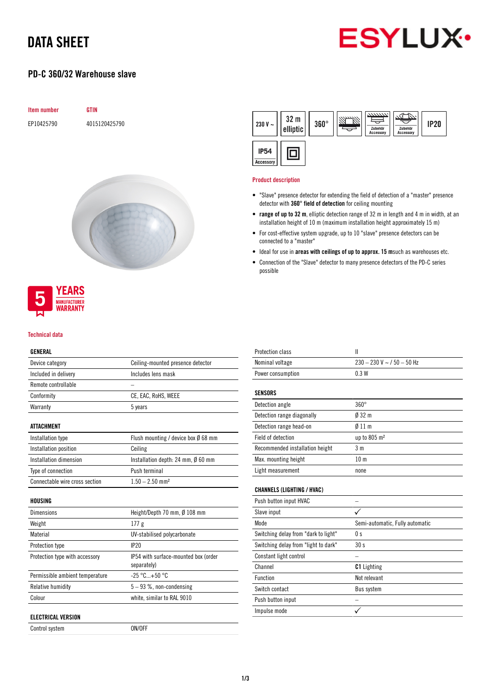# DATA SHEET



## PD-C 360/32 Warehouse slave







#### Technical data

#### GENERAL

| Device category                 | Ceiling-mounted presence detector                   |
|---------------------------------|-----------------------------------------------------|
| Included in delivery            | Includes lens mask                                  |
| Remote controllable             |                                                     |
| Conformity                      | CE, EAC, RoHS, WEEE                                 |
| Warranty                        | 5 years                                             |
| ATTACHMENT                      |                                                     |
| Installation type               | Flush mounting / device box $\emptyset$ 68 mm       |
| Installation position           | Ceiling                                             |
| Installation dimension          | Installation depth: 24 mm, $\emptyset$ 60 mm        |
| Type of connection              | Push terminal                                       |
| Connectable wire cross section  | $1.50 - 2.50$ mm <sup>2</sup>                       |
|                                 |                                                     |
| HOUSING                         |                                                     |
| <b>Dimensions</b>               | Height/Depth 70 mm, Ø 108 mm                        |
| Weight                          | 177 <sub>g</sub>                                    |
| Material                        | UV-stabilised polycarbonate                         |
| Protection type                 | IP20                                                |
| Protection type with accessory  | IP54 with surface-mounted box (order<br>separately) |
| Permissible ambient temperature | $-25 °C+50 °C$                                      |
| Relative humidity               | $5-93$ %, non-condensing                            |
| Colour                          | white, similar to RAL 9010                          |

Control system ON/OFF

| 32 <sub>m</sub><br>230 V $\sim$<br>elliptic | $360^\circ$ | 7777777.<br>Zubehör<br><b>Accessory</b> | Zubehör<br><b>Accessory</b> | <b>IP20</b> |
|---------------------------------------------|-------------|-----------------------------------------|-----------------------------|-------------|
| <b>IP54</b><br>Accessory                    |             |                                         |                             |             |

#### Product description

- "Slave" presence detector for extending the field of detection of a "master" presence detector with 360° field of detection for ceiling mounting
- range of up to 32 m, elliptic detection range of 32 m in length and 4 m in width, at an installation height of 10 m (maximum installation height approximately 15 m)
- For cost-effective system upgrade, up to 10 "slave" presence detectors can be connected to a "master"
- Ideal for use in areas with ceilings of up to approx. 15 msuch as warehouses etc.
- Connection of the "Slave" detector to many presence detectors of the PD-C series possible

| <b>Protection class</b>              | Ш                               |
|--------------------------------------|---------------------------------|
| Nominal voltage                      | $230 - 230$ V ~ $/50 - 50$ Hz   |
| Power consumption                    | 0.3W                            |
|                                      |                                 |
| <b>SENSORS</b>                       |                                 |
| Detection angle                      | $360^\circ$                     |
| Detection range diagonally           | $032 \text{ m}$                 |
| Detection range head-on              | $\emptyset$ 11 m                |
| Field of detection                   | up to 805 m <sup>2</sup>        |
| Recommended installation height      | 3 <sub>m</sub>                  |
| Max. mounting height                 | 10 <sub>m</sub>                 |
| Light measurement                    | none                            |
|                                      |                                 |
| <b>CHANNELS (LIGHTING / HVAC)</b>    |                                 |
| Push button input HVAC               |                                 |
| Slave input                          |                                 |
| Mode                                 | Semi-automatic, Fully automatic |
| Switching delay from "dark to light" | 0 <sub>s</sub>                  |
| Switching delay from "light to dark" | 30 <sub>s</sub>                 |
| Constant light control               |                                 |
| Channel                              | <b>C1</b> Lighting              |
| Function                             | Not relevant                    |
| Switch contact                       | <b>Bus system</b>               |
| Push button input                    |                                 |
| Impulse mode                         |                                 |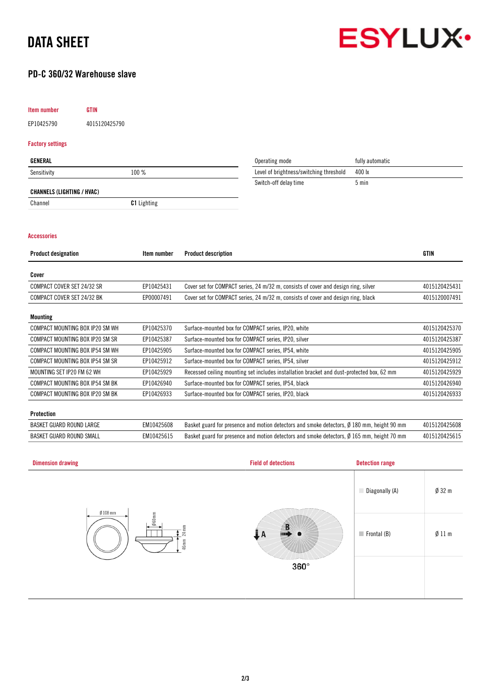# DATA SHEET



## PD-C 360/32 Warehouse slave

#### Item number GTIN

EP10425790 4015120425790

#### Factory settings

| GENERAL                           |                    | Operating mode                          | fully automatic |
|-----------------------------------|--------------------|-----------------------------------------|-----------------|
| Sensitivity                       | 100 %              | Level of brightness/switching threshold | 400 lx          |
|                                   |                    | Switch-off delay time                   | 5 min           |
| <b>CHANNELS (LIGHTING / HVAC)</b> |                    |                                         |                 |
| Channel                           | <b>C1</b> Lighting |                                         |                 |

#### Accessories

| Item number | <b>Product description</b>                                                                | <b>GTIN</b>   |
|-------------|-------------------------------------------------------------------------------------------|---------------|
|             |                                                                                           |               |
| EP10425431  | Cover set for COMPACT series, 24 m/32 m, consists of cover and design ring, silver        | 4015120425431 |
| EP00007491  | Cover set for COMPACT series, 24 m/32 m, consists of cover and design ring, black         | 4015120007491 |
|             |                                                                                           |               |
| EP10425370  | Surface-mounted box for COMPACT series, IP20, white                                       | 4015120425370 |
| EP10425387  | Surface-mounted box for COMPACT series, IP20, silver                                      | 4015120425387 |
| EP10425905  | Surface-mounted box for COMPACT series, IP54, white                                       | 4015120425905 |
| EP10425912  | Surface-mounted box for COMPACT series, IP54, silver                                      | 4015120425912 |
| EP10425929  | Recessed ceiling mounting set includes installation bracket and dust-protected box, 62 mm | 4015120425929 |
| EP10426940  | Surface-mounted box for COMPACT series, IP54, black                                       | 4015120426940 |
| EP10426933  | Surface-mounted box for COMPACT series, IP20, black                                       | 4015120426933 |
|             |                                                                                           |               |

#### Protection

| BASKET GUARD ROUND LARGE | EM10425608 | Basket guard for presence and motion detectors and smoke detectors, $\emptyset$ 180 mm, height 90 mm | 4015120425608 |
|--------------------------|------------|------------------------------------------------------------------------------------------------------|---------------|
| BASKET GUARD ROUND SMALL | EM10425615 | Basket guard for presence and motion detectors and smoke detectors, $\emptyset$ 165 mm, height 70 mm | 4015120425615 |

| <b>Dimension drawing</b>                           | <b>Field of detections</b> | <b>Detection range</b>     |                  |
|----------------------------------------------------|----------------------------|----------------------------|------------------|
|                                                    |                            | Diagonally (A)             | $\emptyset$ 32 m |
| $Ø$ 108 mm<br>$060$ mm<br>$24 \text{ mm}$<br>46 mm | . A                        | $\blacksquare$ Frontal (B) | Ø11 m            |
|                                                    | $360^\circ$                |                            |                  |